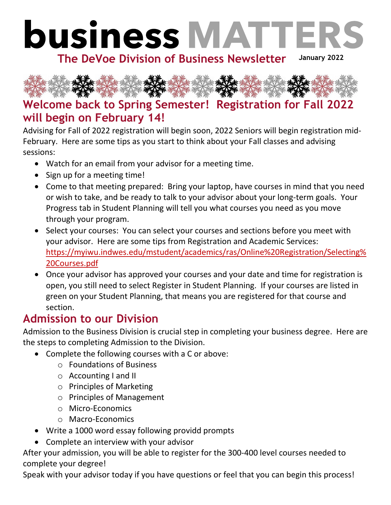

The DeVoe Division of Business Newsletter January 2022



## **Welcome back to Spring Semester! Registration for Fall 2022 will begin on February 14!**

Advising for Fall of 2022 registration will begin soon, 2022 Seniors will begin registration mid-February. Here are some tips as you start to think about your Fall classes and advising sessions:

- Watch for an email from your advisor for a meeting time.
- Sign up for a meeting time!
- Come to that meeting prepared: Bring your laptop, have courses in mind that you need or wish to take, and be ready to talk to your advisor about your long-term goals. Your Progress tab in Student Planning will tell you what courses you need as you move through your program.
- Select your courses: You can select your courses and sections before you meet with your advisor. Here are some tips from Registration and Academic Services: [https://myiwu.indwes.edu/mstudent/academics/ras/Online%20Registration/Selecting%](https://myiwu.indwes.edu/mstudent/academics/ras/Online%20Registration/Selecting%20Courses.pdf) [20Courses.pdf](https://myiwu.indwes.edu/mstudent/academics/ras/Online%20Registration/Selecting%20Courses.pdf)
- Once your advisor has approved your courses and your date and time for registration is open, you still need to select Register in Student Planning. If your courses are listed in green on your Student Planning, that means you are registered for that course and section.

## **Admission to our Division**

Admission to the Business Division is crucial step in completing your business degree. Here are the steps to completing Admission to the Division.

- Complete the following courses with a C or above:
	- o Foundations of Business
	- o Accounting I and II
	- o Principles of Marketing
	- o Principles of Management
	- o Micro-Economics
	- o Macro-Economics
- Write a 1000 word essay following providd prompts
- Complete an interview with your advisor

After your admission, you will be able to register for the 300-400 level courses needed to complete your degree!

Speak with your advisor today if you have questions or feel that you can begin this process!